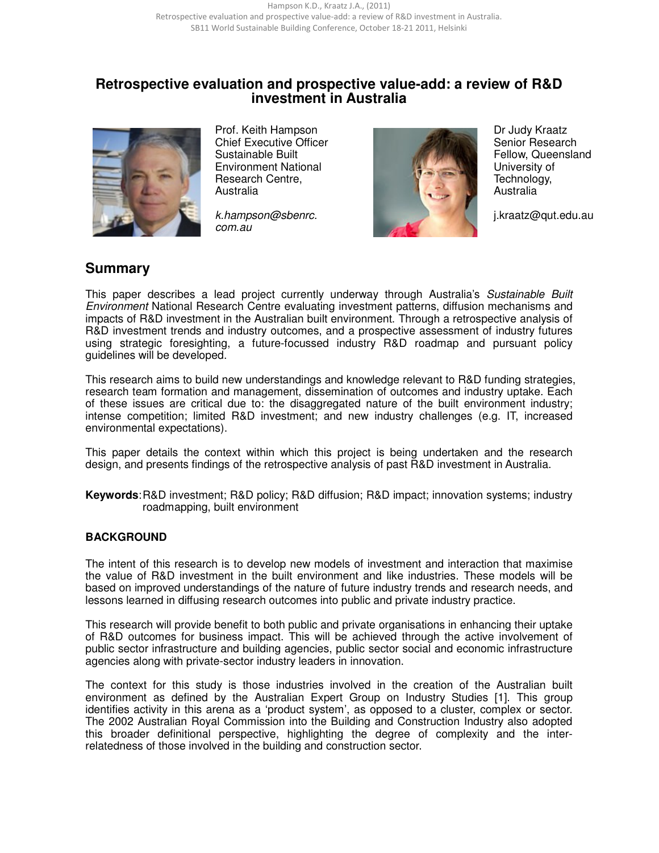# **Retrospective evaluation and prospective value-add: a review of R&D investment in Australia**



 Prof. Keith Hampson Chief Executive Officer Sustainable Built Environment National Research Centre, Australia

k.hampson@sbenrc. com.au



 Dr Judy Kraatz Senior Research Fellow, Queensland University of Technology, Australia

j.kraatz@qut.edu.au

# **Summary**

This paper describes a lead project currently underway through Australia's Sustainable Built Environment National Research Centre evaluating investment patterns, diffusion mechanisms and impacts of R&D investment in the Australian built environment. Through a retrospective analysis of R&D investment trends and industry outcomes, and a prospective assessment of industry futures using strategic foresighting, a future-focussed industry R&D roadmap and pursuant policy guidelines will be developed.

This research aims to build new understandings and knowledge relevant to R&D funding strategies, research team formation and management, dissemination of outcomes and industry uptake. Each of these issues are critical due to: the disaggregated nature of the built environment industry; intense competition; limited R&D investment; and new industry challenges (e.g. IT, increased environmental expectations).

This paper details the context within which this project is being undertaken and the research design, and presents findings of the retrospective analysis of past R&D investment in Australia.

**Keywords**: R&D investment; R&D policy; R&D diffusion; R&D impact; innovation systems; industry roadmapping, built environment

#### **BACKGROUND**

The intent of this research is to develop new models of investment and interaction that maximise the value of R&D investment in the built environment and like industries. These models will be based on improved understandings of the nature of future industry trends and research needs, and lessons learned in diffusing research outcomes into public and private industry practice.

This research will provide benefit to both public and private organisations in enhancing their uptake of R&D outcomes for business impact. This will be achieved through the active involvement of public sector infrastructure and building agencies, public sector social and economic infrastructure agencies along with private-sector industry leaders in innovation.

The context for this study is those industries involved in the creation of the Australian built environment as defined by the Australian Expert Group on Industry Studies [1]. This group identifies activity in this arena as a 'product system', as opposed to a cluster, complex or sector. The 2002 Australian Royal Commission into the Building and Construction Industry also adopted this broader definitional perspective, highlighting the degree of complexity and the interrelatedness of those involved in the building and construction sector.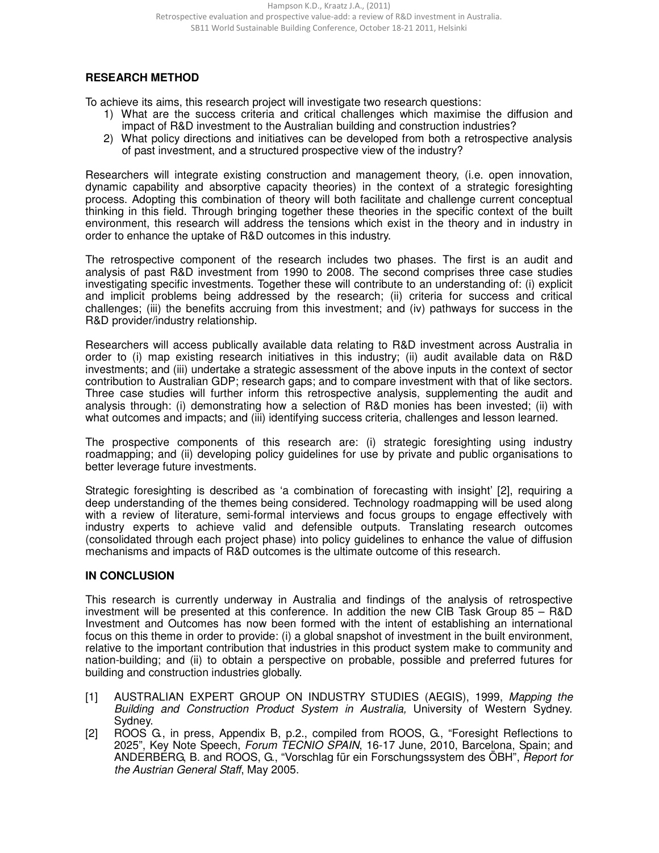### **RESEARCH METHOD**

To achieve its aims, this research project will investigate two research questions:

- 1) What are the success criteria and critical challenges which maximise the diffusion and impact of R&D investment to the Australian building and construction industries?
- 2) What policy directions and initiatives can be developed from both a retrospective analysis of past investment, and a structured prospective view of the industry?

Researchers will integrate existing construction and management theory, (i.e. open innovation, dynamic capability and absorptive capacity theories) in the context of a strategic foresighting process. Adopting this combination of theory will both facilitate and challenge current conceptual thinking in this field. Through bringing together these theories in the specific context of the built environment, this research will address the tensions which exist in the theory and in industry in order to enhance the uptake of R&D outcomes in this industry.

The retrospective component of the research includes two phases. The first is an audit and analysis of past R&D investment from 1990 to 2008. The second comprises three case studies investigating specific investments. Together these will contribute to an understanding of: (i) explicit and implicit problems being addressed by the research; (ii) criteria for success and critical challenges; (iii) the benefits accruing from this investment; and (iv) pathways for success in the R&D provider/industry relationship.

Researchers will access publically available data relating to R&D investment across Australia in order to (i) map existing research initiatives in this industry; (ii) audit available data on R&D investments; and (iii) undertake a strategic assessment of the above inputs in the context of sector contribution to Australian GDP; research gaps; and to compare investment with that of like sectors. Three case studies will further inform this retrospective analysis, supplementing the audit and analysis through: (i) demonstrating how a selection of R&D monies has been invested; (ii) with what outcomes and impacts; and (iii) identifying success criteria, challenges and lesson learned.

The prospective components of this research are: (i) strategic foresighting using industry roadmapping; and (ii) developing policy guidelines for use by private and public organisations to better leverage future investments.

Strategic foresighting is described as 'a combination of forecasting with insight' [2], requiring a deep understanding of the themes being considered. Technology roadmapping will be used along with a review of literature, semi-formal interviews and focus groups to engage effectively with industry experts to achieve valid and defensible outputs. Translating research outcomes (consolidated through each project phase) into policy guidelines to enhance the value of diffusion mechanisms and impacts of R&D outcomes is the ultimate outcome of this research.

#### **IN CONCLUSION**

This research is currently underway in Australia and findings of the analysis of retrospective investment will be presented at this conference. In addition the new CIB Task Group 85 – R&D Investment and Outcomes has now been formed with the intent of establishing an international focus on this theme in order to provide: (i) a global snapshot of investment in the built environment, relative to the important contribution that industries in this product system make to community and nation-building; and (ii) to obtain a perspective on probable, possible and preferred futures for building and construction industries globally.

- [1] AUSTRALIAN EXPERT GROUP ON INDUSTRY STUDIES (AEGIS), 1999, Mapping the Building and Construction Product System in Australia, University of Western Sydney. Sydney.
- [2] ROOS G., in press, Appendix B, p.2., compiled from ROOS, G., "Foresight Reflections to 2025", Key Note Speech, Forum TECNIO SPAIN, 16-17 June, 2010, Barcelona, Spain; and ANDERBERG, B. and ROOS, G., "Vorschlag für ein Forschungssystem des ÖBH", Report for the Austrian General Staff, May 2005.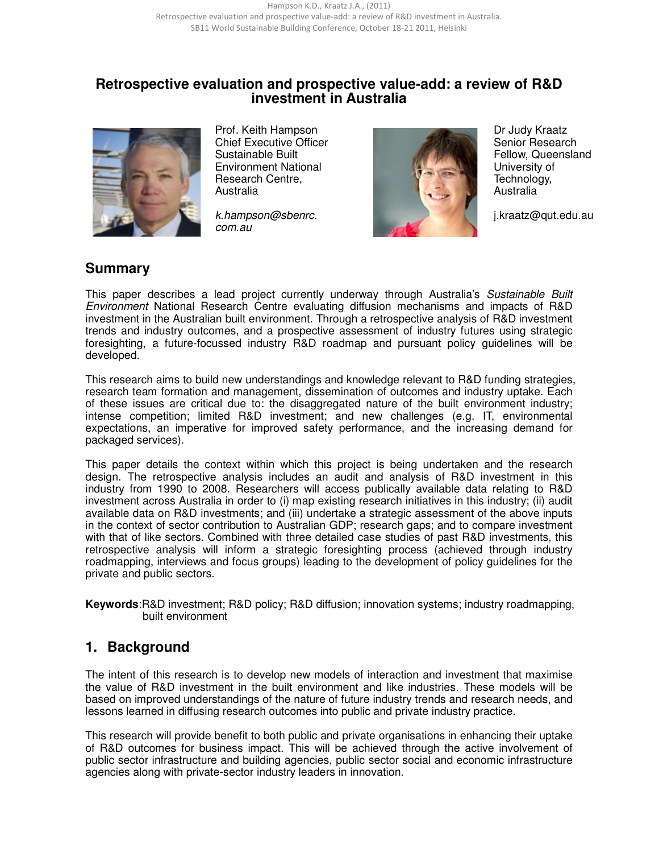# **Retrospective evaluation and prospective value-add: a review of R&D investment in Australia**



 Prof. Keith Hampson Chief Executive Officer Sustainable Built Environment National Research Centre, Australia

k.hampson@sbenrc. com.au



 Dr Judy Kraatz Senior Research Fellow, Queensland University of Technology, Australia

j.kraatz@qut.edu.au

# **Summary**

This paper describes a lead project currently underway through Australia's Sustainable Built Environment National Research Centre evaluating diffusion mechanisms and impacts of R&D investment in the Australian built environment. Through a retrospective analysis of R&D investment trends and industry outcomes, and a prospective assessment of industry futures using strategic foresighting, a future-focussed industry R&D roadmap and pursuant policy guidelines will be developed.

This research aims to build new understandings and knowledge relevant to R&D funding strategies, research team formation and management, dissemination of outcomes and industry uptake. Each of these issues are critical due to: the disaggregated nature of the built environment industry; intense competition; limited R&D investment; and new challenges (e.g. IT, environmental expectations, an imperative for improved safety performance, and the increasing demand for packaged services).

This paper details the context within which this project is being undertaken and the research design. The retrospective analysis includes an audit and analysis of R&D investment in this industry from 1990 to 2008. Researchers will access publically available data relating to R&D investment across Australia in order to (i) map existing research initiatives in this industry; (ii) audit available data on R&D investments; and (iii) undertake a strategic assessment of the above inputs in the context of sector contribution to Australian GDP; research gaps; and to compare investment with that of like sectors. Combined with three detailed case studies of past R&D investments, this retrospective analysis will inform a strategic foresighting process (achieved through industry roadmapping, interviews and focus groups) leading to the development of policy guidelines for the private and public sectors.

**Keywords**:R&D investment; R&D policy; R&D diffusion; innovation systems; industry roadmapping, built environment

# **1. Background**

The intent of this research is to develop new models of interaction and investment that maximise the value of R&D investment in the built environment and like industries. These models will be based on improved understandings of the nature of future industry trends and research needs, and lessons learned in diffusing research outcomes into public and private industry practice.

This research will provide benefit to both public and private organisations in enhancing their uptake of R&D outcomes for business impact. This will be achieved through the active involvement of public sector infrastructure and building agencies, public sector social and economic infrastructure agencies along with private-sector industry leaders in innovation.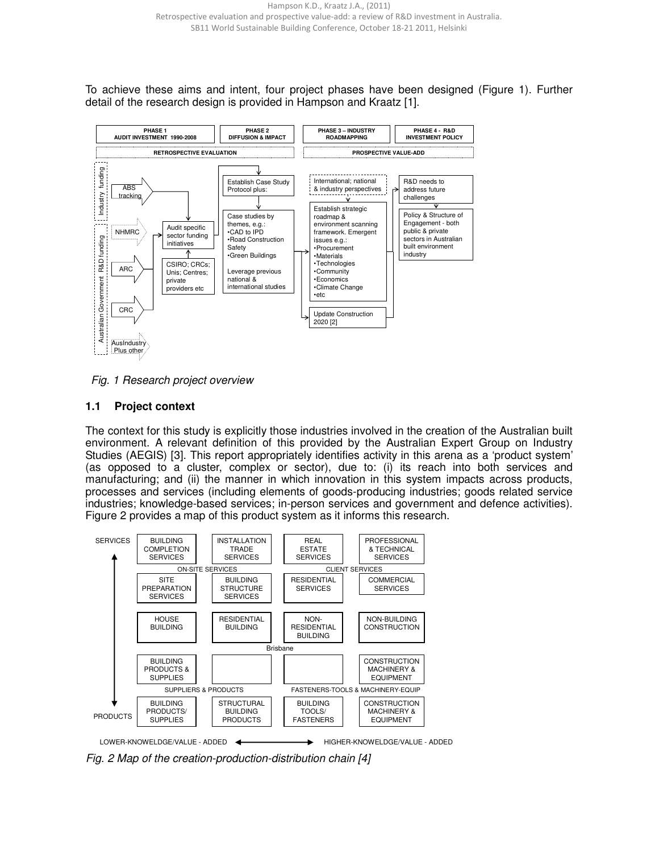To achieve these aims and intent, four project phases have been designed (Figure 1). Further detail of the research design is provided in Hampson and Kraatz [1].



Fig. 1 Research project overview

#### **1.1 Project context**

The context for this study is explicitly those industries involved in the creation of the Australian built environment. A relevant definition of this provided by the Australian Expert Group on Industry Studies (AEGIS) [3]. This report appropriately identifies activity in this arena as a 'product system' (as opposed to a cluster, complex or sector), due to: (i) its reach into both services and manufacturing; and (ii) the manner in which innovation in this system impacts across products, processes and services (including elements of goods-producing industries; goods related service industries; knowledge-based services; in-person services and government and defence activities). Figure 2 provides a map of this product system as it informs this research.



Fig. 2 Map of the creation-production-distribution chain [4]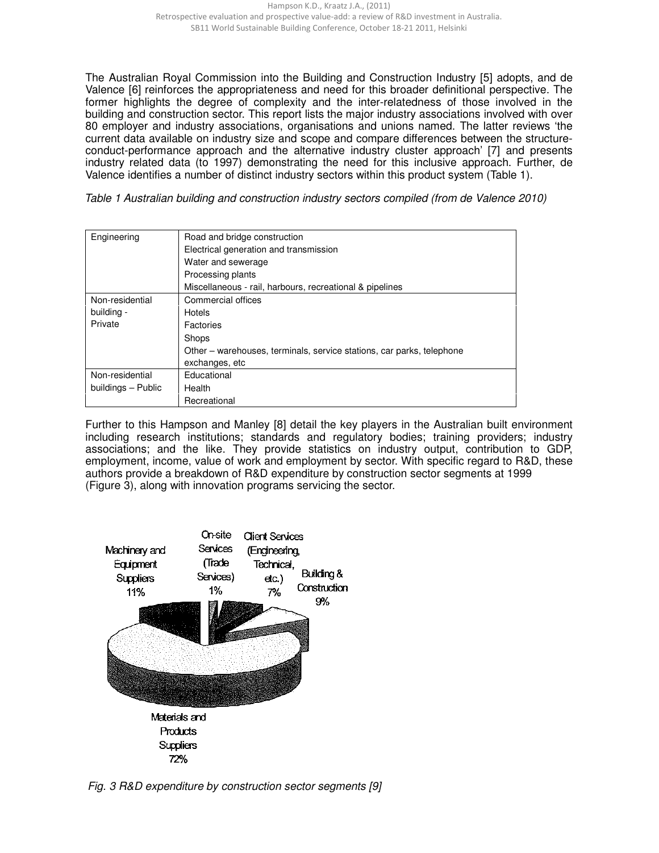The Australian Royal Commission into the Building and Construction Industry [5] adopts, and de Valence [6] reinforces the appropriateness and need for this broader definitional perspective. The former highlights the degree of complexity and the inter-relatedness of those involved in the building and construction sector. This report lists the major industry associations involved with over 80 employer and industry associations, organisations and unions named. The latter reviews 'the current data available on industry size and scope and compare differences between the structureconduct-performance approach and the alternative industry cluster approach' [7] and presents industry related data (to 1997) demonstrating the need for this inclusive approach. Further, de Valence identifies a number of distinct industry sectors within this product system (Table 1).

Table 1 Australian building and construction industry sectors compiled (from de Valence 2010)

| Engineering        | Road and bridge construction                                          |  |  |  |  |
|--------------------|-----------------------------------------------------------------------|--|--|--|--|
|                    | Electrical generation and transmission                                |  |  |  |  |
|                    | Water and sewerage                                                    |  |  |  |  |
|                    | Processing plants                                                     |  |  |  |  |
|                    | Miscellaneous - rail, harbours, recreational & pipelines              |  |  |  |  |
| Non-residential    | Commercial offices                                                    |  |  |  |  |
| building -         | Hotels                                                                |  |  |  |  |
| Private            | Factories                                                             |  |  |  |  |
|                    | Shops                                                                 |  |  |  |  |
|                    | Other – warehouses, terminals, service stations, car parks, telephone |  |  |  |  |
|                    | exchanges, etc                                                        |  |  |  |  |
| Non-residential    | Educational                                                           |  |  |  |  |
| buildings - Public | Health                                                                |  |  |  |  |
|                    | Recreational                                                          |  |  |  |  |

Further to this Hampson and Manley [8] detail the key players in the Australian built environment including research institutions; standards and regulatory bodies; training providers; industry associations; and the like. They provide statistics on industry output, contribution to GDP, employment, income, value of work and employment by sector. With specific regard to R&D, these authors provide a breakdown of R&D expenditure by construction sector segments at 1999 (Figure 3), along with innovation programs servicing the sector.



Fig. 3 R&D expenditure by construction sector segments [9]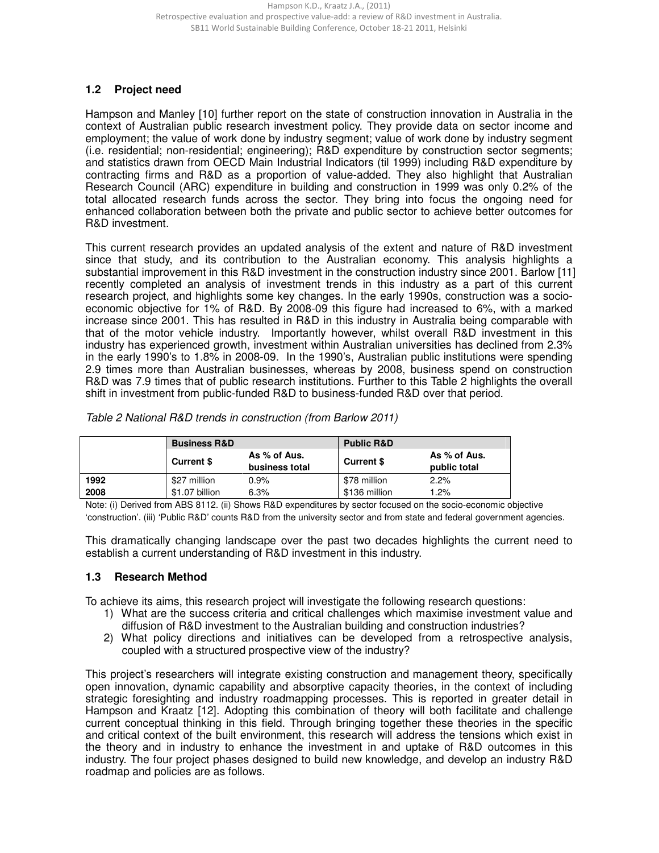### **1.2 Project need**

Hampson and Manley [10] further report on the state of construction innovation in Australia in the context of Australian public research investment policy. They provide data on sector income and employment; the value of work done by industry segment; value of work done by industry segment (i.e. residential; non-residential; engineering); R&D expenditure by construction sector segments; and statistics drawn from OECD Main Industrial Indicators (til 1999) including R&D expenditure by contracting firms and R&D as a proportion of value-added. They also highlight that Australian Research Council (ARC) expenditure in building and construction in 1999 was only 0.2% of the total allocated research funds across the sector. They bring into focus the ongoing need for enhanced collaboration between both the private and public sector to achieve better outcomes for R&D investment.

This current research provides an updated analysis of the extent and nature of R&D investment since that study, and its contribution to the Australian economy. This analysis highlights a substantial improvement in this R&D investment in the construction industry since 2001. Barlow [11] recently completed an analysis of investment trends in this industry as a part of this current research project, and highlights some key changes. In the early 1990s, construction was a socioeconomic objective for 1% of R&D. By 2008-09 this figure had increased to 6%, with a marked increase since 2001. This has resulted in R&D in this industry in Australia being comparable with that of the motor vehicle industry. Importantly however, whilst overall R&D investment in this industry has experienced growth, investment within Australian universities has declined from 2.3% in the early 1990's to 1.8% in 2008-09. In the 1990's, Australian public institutions were spending 2.9 times more than Australian businesses, whereas by 2008, business spend on construction R&D was 7.9 times that of public research institutions. Further to this Table 2 highlights the overall shift in investment from public-funded R&D to business-funded R&D over that period.

|      | <b>Business R&amp;D</b> |                                | <b>Public R&amp;D</b> |                              |
|------|-------------------------|--------------------------------|-----------------------|------------------------------|
|      | <b>Current \$</b>       | As % of Aus.<br>business total | <b>Current \$</b>     | As % of Aus.<br>public total |
| 1992 | \$27 million            | $0.9\%$                        | \$78 million          | 2.2%                         |
| 2008 | \$1.07 billion          | 6.3%                           | \$136 million         | 1.2%                         |

Table 2 National R&D trends in construction (from Barlow 2011)

Note: (i) Derived from ABS 8112. (ii) Shows R&D expenditures by sector focused on the socio-economic objective 'construction'. (iii) 'Public R&D' counts R&D from the university sector and from state and federal government agencies.

This dramatically changing landscape over the past two decades highlights the current need to establish a current understanding of R&D investment in this industry.

#### **1.3 Research Method**

To achieve its aims, this research project will investigate the following research questions:

- 1) What are the success criteria and critical challenges which maximise investment value and diffusion of R&D investment to the Australian building and construction industries?
- 2) What policy directions and initiatives can be developed from a retrospective analysis, coupled with a structured prospective view of the industry?

This project's researchers will integrate existing construction and management theory, specifically open innovation, dynamic capability and absorptive capacity theories, in the context of including strategic foresighting and industry roadmapping processes. This is reported in greater detail in Hampson and Kraatz [12]. Adopting this combination of theory will both facilitate and challenge current conceptual thinking in this field. Through bringing together these theories in the specific and critical context of the built environment, this research will address the tensions which exist in the theory and in industry to enhance the investment in and uptake of R&D outcomes in this industry. The four project phases designed to build new knowledge, and develop an industry R&D roadmap and policies are as follows.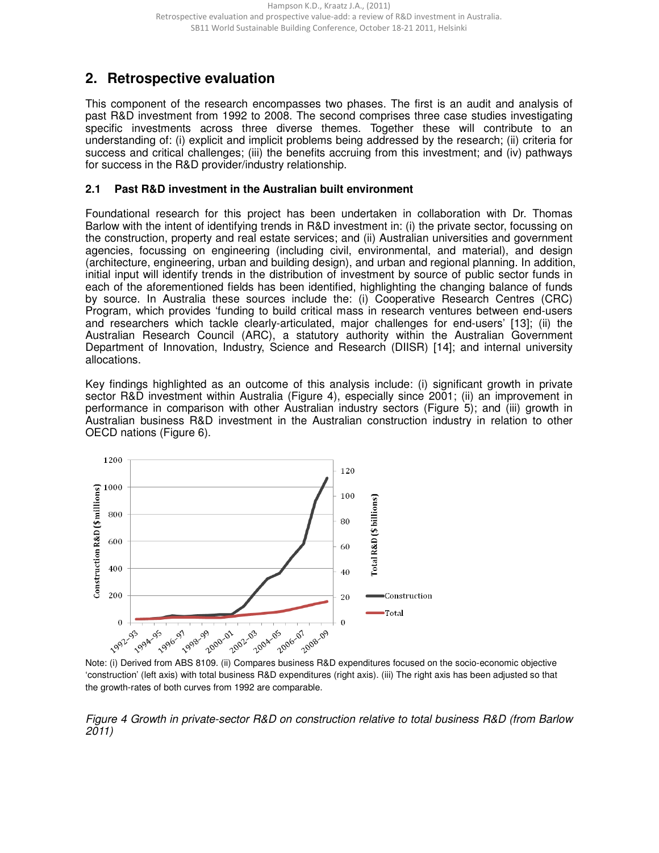# **2. Retrospective evaluation**

This component of the research encompasses two phases. The first is an audit and analysis of past R&D investment from 1992 to 2008. The second comprises three case studies investigating specific investments across three diverse themes. Together these will contribute to an understanding of: (i) explicit and implicit problems being addressed by the research; (ii) criteria for success and critical challenges; (iii) the benefits accruing from this investment; and (iv) pathways for success in the R&D provider/industry relationship.

#### **2.1 Past R&D investment in the Australian built environment**

Foundational research for this project has been undertaken in collaboration with Dr. Thomas Barlow with the intent of identifying trends in R&D investment in: (i) the private sector, focussing on the construction, property and real estate services; and (ii) Australian universities and government agencies, focussing on engineering (including civil, environmental, and material), and design (architecture, engineering, urban and building design), and urban and regional planning. In addition, initial input will identify trends in the distribution of investment by source of public sector funds in each of the aforementioned fields has been identified, highlighting the changing balance of funds by source. In Australia these sources include the: (i) Cooperative Research Centres (CRC) Program, which provides 'funding to build critical mass in research ventures between end-users and researchers which tackle clearly-articulated, major challenges for end-users' [13]; (ii) the Australian Research Council (ARC), a statutory authority within the Australian Government Department of Innovation, Industry, Science and Research (DIISR) [14]; and internal university allocations.

Key findings highlighted as an outcome of this analysis include: (i) significant growth in private sector R&D investment within Australia (Figure 4), especially since 2001; (ii) an improvement in performance in comparison with other Australian industry sectors (Figure 5); and (iii) growth in Australian business R&D investment in the Australian construction industry in relation to other OECD nations (Figure 6).



<sup>&#</sup>x27;construction' (left axis) with total business R&D expenditures (right axis). (iii) The right axis has been adjusted so that the growth-rates of both curves from 1992 are comparable.

Figure 4 Growth in private-sector R&D on construction relative to total business R&D (from Barlow 2011)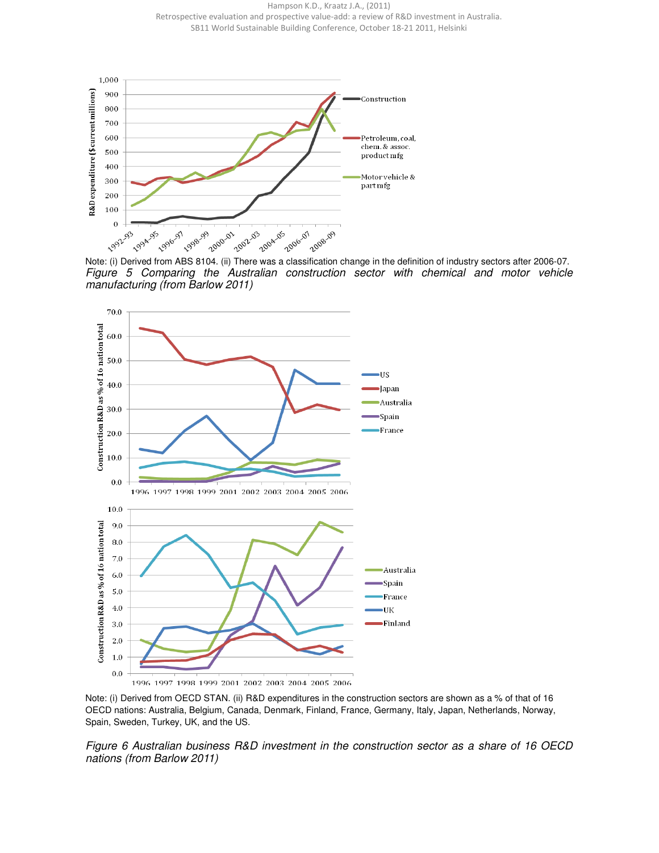Hampson K.D., Kraatz J.A., (2011) Retrospective evaluation and prospective value-add: a review of R&D investment in Australia. SB11 World Sustainable Building Conference, October 18-21 2011, Helsinki



Figure 5 Comparing the Australian construction sector with chemical and motor vehicle manufacturing (from Barlow 2011)



Note: (i) Derived from OECD STAN. (ii) R&D expenditures in the construction sectors are shown as a % of that of 16 OECD nations: Australia, Belgium, Canada, Denmark, Finland, France, Germany, Italy, Japan, Netherlands, Norway, Spain, Sweden, Turkey, UK, and the US.

Figure 6 Australian business R&D investment in the construction sector as a share of 16 OECD nations (from Barlow 2011)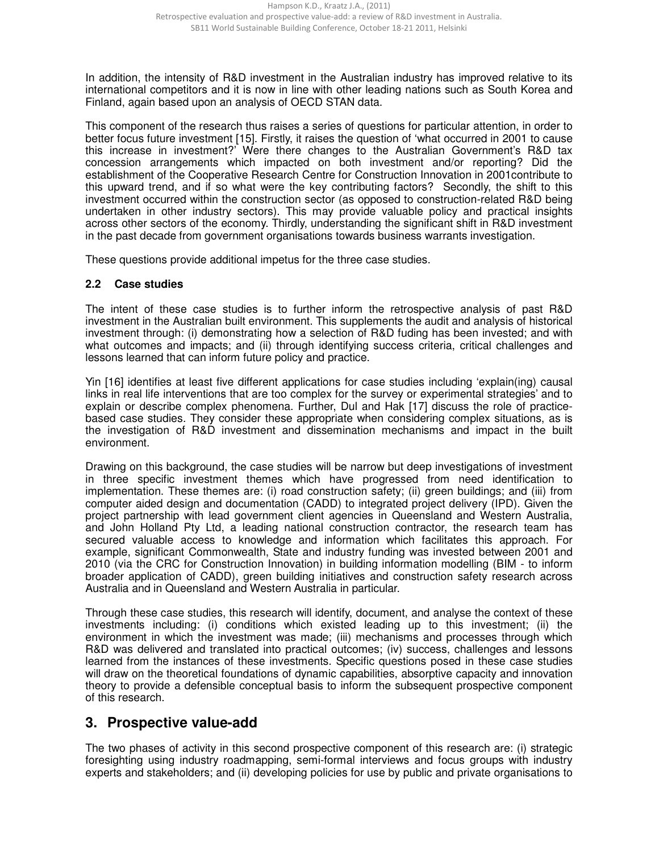In addition, the intensity of R&D investment in the Australian industry has improved relative to its international competitors and it is now in line with other leading nations such as South Korea and Finland, again based upon an analysis of OECD STAN data.

This component of the research thus raises a series of questions for particular attention, in order to better focus future investment [15]. Firstly, it raises the question of 'what occurred in 2001 to cause this increase in investment?' Were there changes to the Australian Government's R&D tax concession arrangements which impacted on both investment and/or reporting? Did the establishment of the Cooperative Research Centre for Construction Innovation in 2001contribute to this upward trend, and if so what were the key contributing factors? Secondly, the shift to this investment occurred within the construction sector (as opposed to construction-related R&D being undertaken in other industry sectors). This may provide valuable policy and practical insights across other sectors of the economy. Thirdly, understanding the significant shift in R&D investment in the past decade from government organisations towards business warrants investigation.

These questions provide additional impetus for the three case studies.

#### **2.2 Case studies**

The intent of these case studies is to further inform the retrospective analysis of past R&D investment in the Australian built environment. This supplements the audit and analysis of historical investment through: (i) demonstrating how a selection of R&D fuding has been invested; and with what outcomes and impacts; and (ii) through identifying success criteria, critical challenges and lessons learned that can inform future policy and practice.

Yin [16] identifies at least five different applications for case studies including 'explain(ing) causal links in real life interventions that are too complex for the survey or experimental strategies' and to explain or describe complex phenomena. Further, Dul and Hak [17] discuss the role of practicebased case studies. They consider these appropriate when considering complex situations, as is the investigation of R&D investment and dissemination mechanisms and impact in the built environment.

Drawing on this background, the case studies will be narrow but deep investigations of investment in three specific investment themes which have progressed from need identification to implementation. These themes are: (i) road construction safety; (ii) green buildings; and (iii) from computer aided design and documentation (CADD) to integrated project delivery (IPD). Given the project partnership with lead government client agencies in Queensland and Western Australia, and John Holland Pty Ltd, a leading national construction contractor, the research team has secured valuable access to knowledge and information which facilitates this approach. For example, significant Commonwealth, State and industry funding was invested between 2001 and 2010 (via the CRC for Construction Innovation) in building information modelling (BIM - to inform broader application of CADD), green building initiatives and construction safety research across Australia and in Queensland and Western Australia in particular.

Through these case studies, this research will identify, document, and analyse the context of these investments including: (i) conditions which existed leading up to this investment; (ii) the environment in which the investment was made; (iii) mechanisms and processes through which R&D was delivered and translated into practical outcomes; (iv) success, challenges and lessons learned from the instances of these investments. Specific questions posed in these case studies will draw on the theoretical foundations of dynamic capabilities, absorptive capacity and innovation theory to provide a defensible conceptual basis to inform the subsequent prospective component of this research.

# **3. Prospective value-add**

The two phases of activity in this second prospective component of this research are: (i) strategic foresighting using industry roadmapping, semi-formal interviews and focus groups with industry experts and stakeholders; and (ii) developing policies for use by public and private organisations to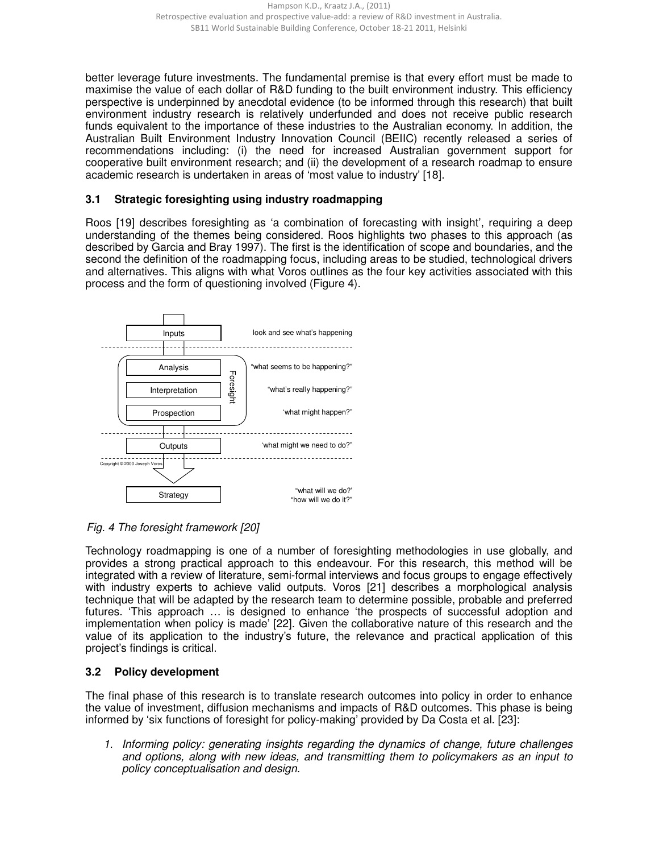better leverage future investments. The fundamental premise is that every effort must be made to maximise the value of each dollar of R&D funding to the built environment industry. This efficiency perspective is underpinned by anecdotal evidence (to be informed through this research) that built environment industry research is relatively underfunded and does not receive public research funds equivalent to the importance of these industries to the Australian economy. In addition, the Australian Built Environment Industry Innovation Council (BEIIC) recently released a series of recommendations including: (i) the need for increased Australian government support for cooperative built environment research; and (ii) the development of a research roadmap to ensure academic research is undertaken in areas of 'most value to industry' [18].

### **3.1 Strategic foresighting using industry roadmapping**

Roos [19] describes foresighting as 'a combination of forecasting with insight', requiring a deep understanding of the themes being considered. Roos highlights two phases to this approach (as described by Garcia and Bray 1997). The first is the identification of scope and boundaries, and the second the definition of the roadmapping focus, including areas to be studied, technological drivers and alternatives. This aligns with what Voros outlines as the four key activities associated with this process and the form of questioning involved (Figure 4).



Fig. 4 The foresight framework [20]

Technology roadmapping is one of a number of foresighting methodologies in use globally, and provides a strong practical approach to this endeavour. For this research, this method will be integrated with a review of literature, semi-formal interviews and focus groups to engage effectively with industry experts to achieve valid outputs. Voros [21] describes a morphological analysis technique that will be adapted by the research team to determine possible, probable and preferred futures. 'This approach … is designed to enhance 'the prospects of successful adoption and implementation when policy is made' [22]. Given the collaborative nature of this research and the value of its application to the industry's future, the relevance and practical application of this project's findings is critical.

### **3.2 Policy development**

The final phase of this research is to translate research outcomes into policy in order to enhance the value of investment, diffusion mechanisms and impacts of R&D outcomes. This phase is being informed by 'six functions of foresight for policy-making' provided by Da Costa et al. [23]:

1. Informing policy: generating insights regarding the dynamics of change, future challenges and options, along with new ideas, and transmitting them to policymakers as an input to policy conceptualisation and design.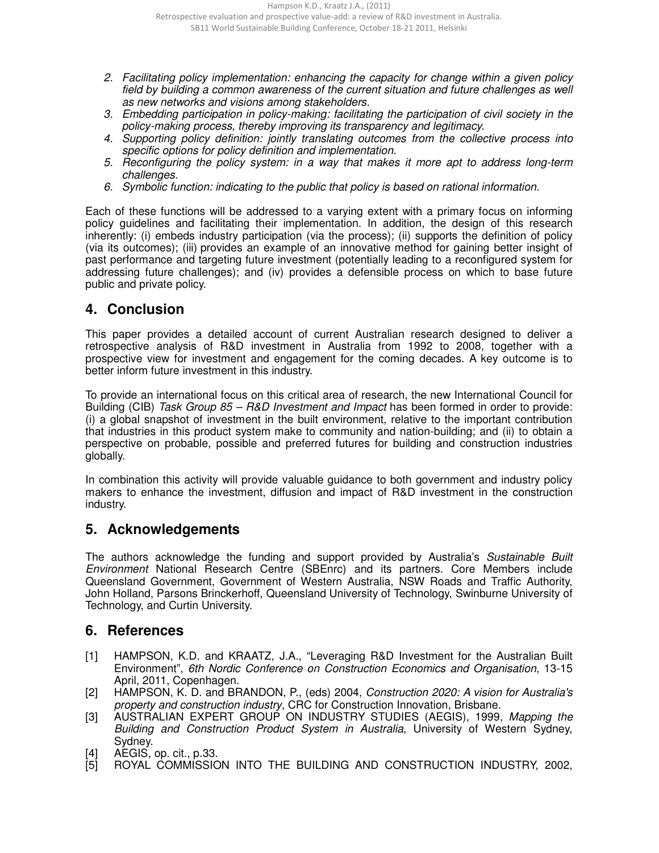- 2. Facilitating policy implementation: enhancing the capacity for change within a given policy field by building a common awareness of the current situation and future challenges as well as new networks and visions among stakeholders.
- 3. Embedding participation in policy-making: facilitating the participation of civil society in the policy-making process, thereby improving its transparency and legitimacy.
- 4. Supporting policy definition: jointly translating outcomes from the collective process into specific options for policy definition and implementation.
- 5. Reconfiguring the policy system: in a way that makes it more apt to address long-term challenges.
- 6. Symbolic function: indicating to the public that policy is based on rational information.

Each of these functions will be addressed to a varying extent with a primary focus on informing policy guidelines and facilitating their implementation. In addition, the design of this research inherently: (i) embeds industry participation (via the process); (ii) supports the definition of policy (via its outcomes); (iii) provides an example of an innovative method for gaining better insight of past performance and targeting future investment (potentially leading to a reconfigured system for addressing future challenges); and (iv) provides a defensible process on which to base future public and private policy.

# **4. Conclusion**

This paper provides a detailed account of current Australian research designed to deliver a retrospective analysis of R&D investment in Australia from 1992 to 2008, together with a prospective view for investment and engagement for the coming decades. A key outcome is to better inform future investment in this industry.

To provide an international focus on this critical area of research, the new International Council for Building (CIB) Task Group 85 – R&D Investment and Impact has been formed in order to provide: (i) a global snapshot of investment in the built environment, relative to the important contribution that industries in this product system make to community and nation-building; and (ii) to obtain a perspective on probable, possible and preferred futures for building and construction industries globally.

In combination this activity will provide valuable guidance to both government and industry policy makers to enhance the investment, diffusion and impact of R&D investment in the construction industry.

# **5. Acknowledgements**

The authors acknowledge the funding and support provided by Australia's Sustainable Built Environment National Research Centre (SBEnrc) and its partners. Core Members include Queensland Government, Government of Western Australia, NSW Roads and Traffic Authority, John Holland, Parsons Brinckerhoff, Queensland University of Technology, Swinburne University of Technology, and Curtin University.

# **6. References**

- [1] HAMPSON, K.D. and KRAATZ, J.A., "Leveraging R&D Investment for the Australian Built Environment", 6th Nordic Conference on Construction Economics and Organisation, 13-15 April, 2011, Copenhagen.
- [2] HAMPSON, K. D. and BRANDON, P., (eds) 2004, Construction 2020: A vision for Australia's property and construction industry, CRC for Construction Innovation, Brisbane.
- [3] AUSTRALIAN EXPERT GROUP ON INDUSTRY STUDIES (AEGIS), 1999, Mapping the Building and Construction Product System in Australia, University of Western Sydney, Sydney.
- [4] AEGIS, op. cit., p.33.
- ROYAL COMMISSION INTO THE BUILDING AND CONSTRUCTION INDUSTRY, 2002,